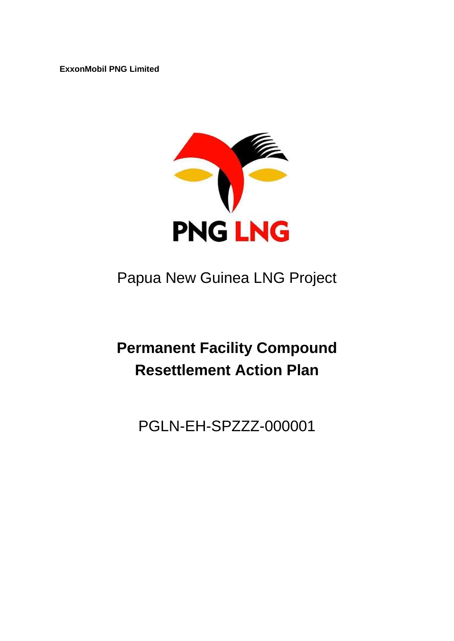**ExxonMobil PNG Limited**



## Papua New Guinea LNG Project

# **Permanent Facility Compound Resettlement Action Plan**

### PGLN-EH-SPZZZ-000001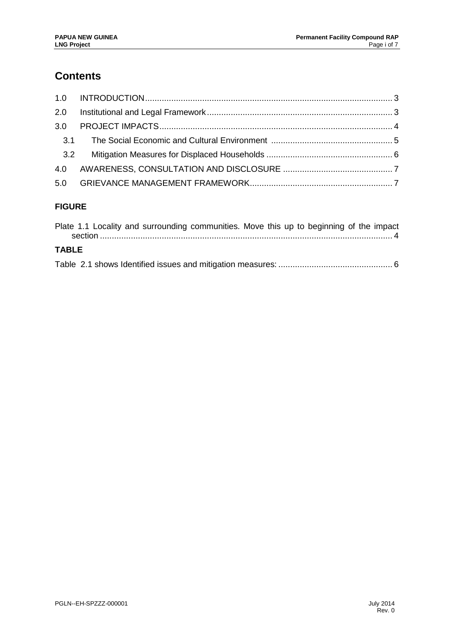### **Contents**

| 2.0 |  |  |  |  |  |  |
|-----|--|--|--|--|--|--|
|     |  |  |  |  |  |  |
|     |  |  |  |  |  |  |
| 3.2 |  |  |  |  |  |  |
|     |  |  |  |  |  |  |
|     |  |  |  |  |  |  |
|     |  |  |  |  |  |  |

#### **FIGURE**

|              |  | Plate 1.1 Locality and surrounding communities. Move this up to beginning of the impact |  |  |  |  |
|--------------|--|-----------------------------------------------------------------------------------------|--|--|--|--|
|              |  |                                                                                         |  |  |  |  |
| <b>TABLE</b> |  |                                                                                         |  |  |  |  |
|              |  |                                                                                         |  |  |  |  |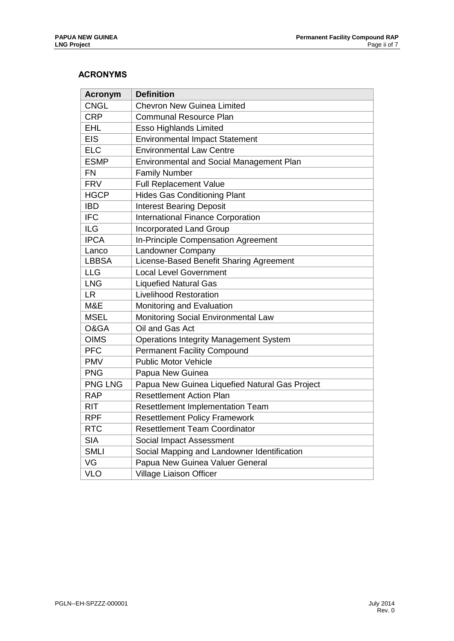#### **ACRONYMS**

| <b>Acronym</b> | <b>Definition</b>                              |  |  |  |  |  |  |
|----------------|------------------------------------------------|--|--|--|--|--|--|
| <b>CNGL</b>    | <b>Chevron New Guinea Limited</b>              |  |  |  |  |  |  |
| <b>CRP</b>     | <b>Communal Resource Plan</b>                  |  |  |  |  |  |  |
| <b>EHL</b>     | <b>Esso Highlands Limited</b>                  |  |  |  |  |  |  |
| <b>EIS</b>     | <b>Environmental Impact Statement</b>          |  |  |  |  |  |  |
| <b>ELC</b>     | <b>Environmental Law Centre</b>                |  |  |  |  |  |  |
| <b>ESMP</b>    | Environmental and Social Management Plan       |  |  |  |  |  |  |
| <b>FN</b>      | <b>Family Number</b>                           |  |  |  |  |  |  |
| <b>FRV</b>     | Full Replacement Value                         |  |  |  |  |  |  |
| <b>HGCP</b>    | <b>Hides Gas Conditioning Plant</b>            |  |  |  |  |  |  |
| <b>IBD</b>     | <b>Interest Bearing Deposit</b>                |  |  |  |  |  |  |
| <b>IFC</b>     | International Finance Corporation              |  |  |  |  |  |  |
| <b>ILG</b>     | <b>Incorporated Land Group</b>                 |  |  |  |  |  |  |
| <b>IPCA</b>    | In-Principle Compensation Agreement            |  |  |  |  |  |  |
| Lanco          | Landowner Company                              |  |  |  |  |  |  |
| <b>LBBSA</b>   | License-Based Benefit Sharing Agreement        |  |  |  |  |  |  |
| <b>LLG</b>     | <b>Local Level Government</b>                  |  |  |  |  |  |  |
| <b>LNG</b>     | <b>Liquefied Natural Gas</b>                   |  |  |  |  |  |  |
| <b>LR</b>      | <b>Livelihood Restoration</b>                  |  |  |  |  |  |  |
| M&E            | Monitoring and Evaluation                      |  |  |  |  |  |  |
| <b>MSEL</b>    | Monitoring Social Environmental Law            |  |  |  |  |  |  |
| O&GA           | Oil and Gas Act                                |  |  |  |  |  |  |
| <b>OIMS</b>    | <b>Operations Integrity Management System</b>  |  |  |  |  |  |  |
| <b>PFC</b>     | <b>Permanent Facility Compound</b>             |  |  |  |  |  |  |
| <b>PMV</b>     | <b>Public Motor Vehicle</b>                    |  |  |  |  |  |  |
| <b>PNG</b>     | Papua New Guinea                               |  |  |  |  |  |  |
| <b>PNG LNG</b> | Papua New Guinea Liquefied Natural Gas Project |  |  |  |  |  |  |
| <b>RAP</b>     | <b>Resettlement Action Plan</b>                |  |  |  |  |  |  |
| <b>RIT</b>     | Resettlement Implementation Team               |  |  |  |  |  |  |
| <b>RPF</b>     | <b>Resettlement Policy Framework</b>           |  |  |  |  |  |  |
| <b>RTC</b>     | <b>Resettlement Team Coordinator</b>           |  |  |  |  |  |  |
| <b>SIA</b>     | Social Impact Assessment                       |  |  |  |  |  |  |
| <b>SMLI</b>    | Social Mapping and Landowner Identification    |  |  |  |  |  |  |
| VG             | Papua New Guinea Valuer General                |  |  |  |  |  |  |
| <b>VLO</b>     | <b>Village Liaison Officer</b>                 |  |  |  |  |  |  |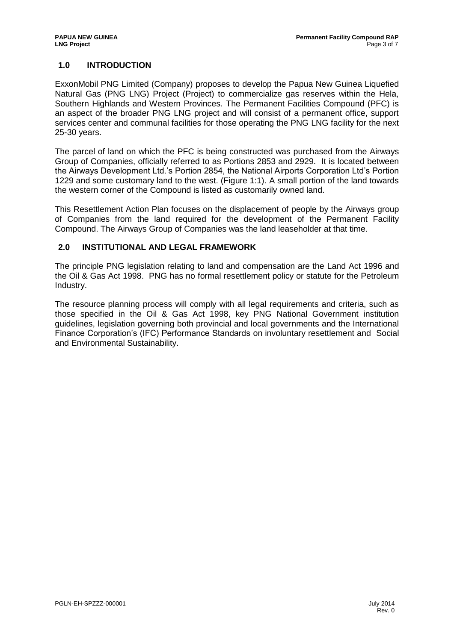#### <span id="page-3-0"></span>**1.0 INTRODUCTION**

ExxonMobil PNG Limited (Company) proposes to develop the Papua New Guinea Liquefied Natural Gas (PNG LNG) Project (Project) to commercialize gas reserves within the Hela, Southern Highlands and Western Provinces. The Permanent Facilities Compound (PFC) is an aspect of the broader PNG LNG project and will consist of a permanent office, support services center and communal facilities for those operating the PNG LNG facility for the next 25-30 years.

The parcel of land on which the PFC is being constructed was purchased from the Airways Group of Companies, officially referred to as Portions 2853 and 2929. It is located between the Airways Development Ltd.'s Portion 2854, the National Airports Corporation Ltd's Portion 1229 and some customary land to the west. (Figure 1:1). A small portion of the land towards the western corner of the Compound is listed as customarily owned land.

This Resettlement Action Plan focuses on the displacement of people by the Airways group of Companies from the land required for the development of the Permanent Facility Compound. The Airways Group of Companies was the land leaseholder at that time.

#### <span id="page-3-1"></span>**2.0 INSTITUTIONAL AND LEGAL FRAMEWORK**

The principle PNG legislation relating to land and compensation are the Land Act 1996 and the Oil & Gas Act 1998. PNG has no formal resettlement policy or statute for the Petroleum Industry.

The resource planning process will comply with all legal requirements and criteria, such as those specified in the Oil & Gas Act 1998, key PNG National Government institution guidelines, legislation governing both provincial and local governments and the International Finance Corporation's (IFC) Performance Standards on involuntary resettlement and Social and Environmental Sustainability.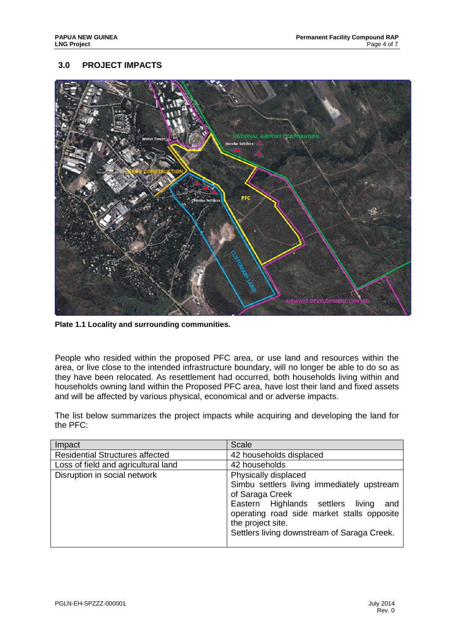#### <span id="page-4-0"></span>**3.0 PROJECT IMPACTS**



<span id="page-4-1"></span>**Plate 1.1 Locality and surrounding communities.** 

People who resided within the proposed PFC area, or use land and resources within the area, or live close to the intended infrastructure boundary, will no longer be able to do so as they have been relocated. As resettlement had occurred, both households living within and households owning land within the Proposed PFC area, have lost their land and fixed assets and will be affected by various physical, economical and or adverse impacts.

The list below summarizes the project impacts while acquiring and developing the land for the PFC:

| Impact                                 | <b>Scale</b>                                                                                                                                                                                                                                           |
|----------------------------------------|--------------------------------------------------------------------------------------------------------------------------------------------------------------------------------------------------------------------------------------------------------|
| <b>Residential Structures affected</b> | 42 households displaced                                                                                                                                                                                                                                |
| Loss of field and agricultural land    | 42 households                                                                                                                                                                                                                                          |
| Disruption in social network           | Physically displaced<br>Simbu settlers living immediately upstream<br>of Saraga Creek<br>Eastern Highlands settlers<br>living<br>and<br>operating road side market stalls opposite<br>the project site.<br>Settlers living downstream of Saraga Creek. |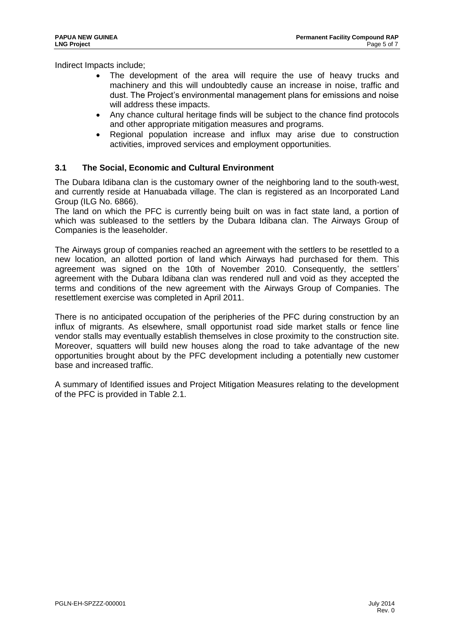Indirect Impacts include;

- The development of the area will require the use of heavy trucks and machinery and this will undoubtedly cause an increase in noise, traffic and dust. The Project's environmental management plans for emissions and noise will address these impacts.
- Any chance cultural heritage finds will be subject to the chance find protocols and other appropriate mitigation measures and programs.
- Regional population increase and influx may arise due to construction activities, improved services and employment opportunities.

#### <span id="page-5-0"></span>**3.1 The Social, Economic and Cultural Environment**

The Dubara Idibana clan is the customary owner of the neighboring land to the south-west, and currently reside at Hanuabada village. The clan is registered as an Incorporated Land Group (ILG No. 6866).

The land on which the PFC is currently being built on was in fact state land, a portion of which was subleased to the settlers by the Dubara Idibana clan. The Airways Group of Companies is the leaseholder.

The Airways group of companies reached an agreement with the settlers to be resettled to a new location, an allotted portion of land which Airways had purchased for them. This agreement was signed on the 10th of November 2010. Consequently, the settlers' agreement with the Dubara Idibana clan was rendered null and void as they accepted the terms and conditions of the new agreement with the Airways Group of Companies. The resettlement exercise was completed in April 2011.

There is no anticipated occupation of the peripheries of the PFC during construction by an influx of migrants. As elsewhere, small opportunist road side market stalls or fence line vendor stalls may eventually establish themselves in close proximity to the construction site. Moreover, squatters will build new houses along the road to take advantage of the new opportunities brought about by the PFC development including a potentially new customer base and increased traffic.

A summary of Identified issues and Project Mitigation Measures relating to the development of the PFC is provided in Table 2.1.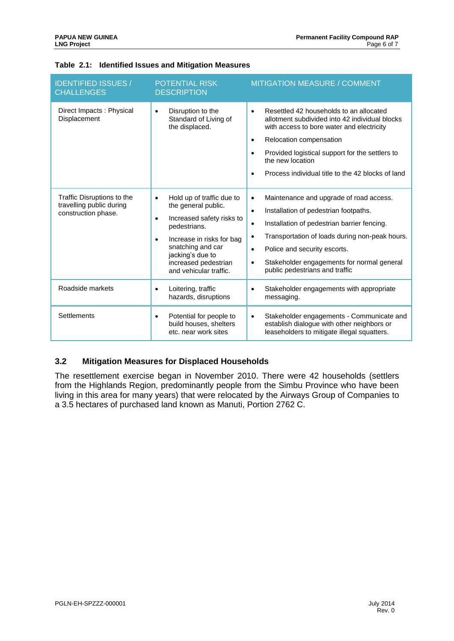| <b>IDENTIFIED ISSUES /</b><br><b>CHALLENGES</b>                               | POTENTIAL RISK<br><b>DESCRIPTION</b>                                                                                                                                                                                                                         | <b>MITIGATION MEASURE / COMMENT</b>                                                                                                                                                                                                                                                                                                                                             |  |  |  |
|-------------------------------------------------------------------------------|--------------------------------------------------------------------------------------------------------------------------------------------------------------------------------------------------------------------------------------------------------------|---------------------------------------------------------------------------------------------------------------------------------------------------------------------------------------------------------------------------------------------------------------------------------------------------------------------------------------------------------------------------------|--|--|--|
| Direct Impacts: Physical<br>Displacement                                      | Disruption to the<br>$\bullet$<br>Standard of Living of<br>the displaced.                                                                                                                                                                                    | Resettled 42 households to an allocated<br>$\bullet$<br>allotment subdivided into 42 individual blocks<br>with access to bore water and electricity<br>Relocation compensation<br>$\bullet$<br>Provided logistical support for the settlers to<br>the new location<br>Process individual title to the 42 blocks of land                                                         |  |  |  |
| Traffic Disruptions to the<br>travelling public during<br>construction phase. | Hold up of traffic due to<br>$\bullet$<br>the general public.<br>Increased safety risks to<br>$\bullet$<br>pedestrians.<br>Increase in risks for bag<br>$\bullet$<br>snatching and car<br>jacking's due to<br>increased pedestrian<br>and vehicular traffic. | Maintenance and upgrade of road access.<br>$\bullet$<br>Installation of pedestrian footpaths.<br>$\bullet$<br>Installation of pedestrian barrier fencing.<br>$\bullet$<br>Transportation of loads during non-peak hours.<br>$\bullet$<br>Police and security escorts.<br>$\bullet$<br>Stakeholder engagements for normal general<br>$\bullet$<br>public pedestrians and traffic |  |  |  |
| Roadside markets                                                              | Loitering, traffic<br>٠<br>hazards, disruptions                                                                                                                                                                                                              | Stakeholder engagements with appropriate<br>$\bullet$<br>messaging.                                                                                                                                                                                                                                                                                                             |  |  |  |
| <b>Settlements</b>                                                            | Potential for people to<br>$\bullet$<br>build houses, shelters<br>etc. near work sites                                                                                                                                                                       | Stakeholder engagements - Communicate and<br>$\bullet$<br>establish dialogue with other neighbors or<br>leaseholders to mitigate illegal squatters.                                                                                                                                                                                                                             |  |  |  |

#### <span id="page-6-1"></span>**Table 2.1: Identified Issues and Mitigation Measures**

#### <span id="page-6-0"></span>**3.2 Mitigation Measures for Displaced Households**

The resettlement exercise began in November 2010. There were 42 households (settlers from the Highlands Region, predominantly people from the Simbu Province who have been living in this area for many years) that were relocated by the Airways Group of Companies to a 3.5 hectares of purchased land known as Manuti, Portion 2762 C.